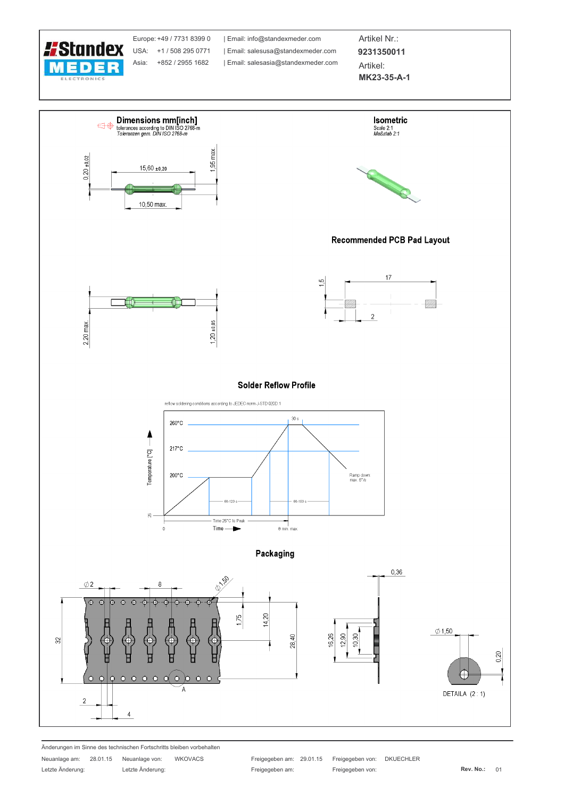

Europe: +49 / 7731 8399 0 USA: +1 / 508 295 0771 Asia: +852 / 2955 1682

| Email: info@standexmeder.com Email: salesusa@standexmeder.com | Email: salesasia@standexmeder.com

Artikel Nr.: 9231350011 Artikel:

MK23-35-A-1



Änderungen im Sinne des technischen Fortschritts bleiben vorbehalten

Letzte Änderung:

Neuanlage am: 28.01.15 Neuanlage von: WKOVACS Letzte Änderung:

Freigegeben am: 29.01.15 Freigegeben von: **DKUECHLER** Freigegeben am: Freigegeben von: